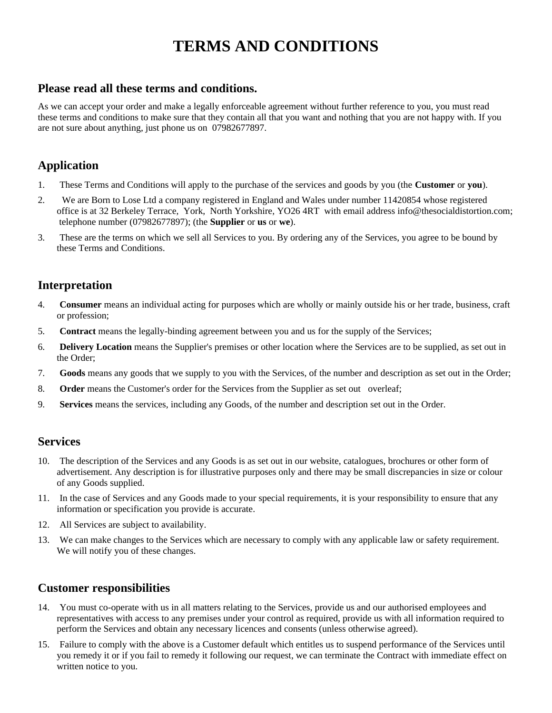# **TERMS AND CONDITIONS**

## **Please read all these terms and conditions.**

As we can accept your order and make a legally enforceable agreement without further reference to you, you must read these terms and conditions to make sure that they contain all that you want and nothing that you are not happy with. If you are not sure about anything, just phone us on 07982677897.

# **Application**

- 1. These Terms and Conditions will apply to the purchase of the services and goods by you (the **Customer** or **you**).
- 2. We are Born to Lose Ltd a company registered in England and Wales under number 11420854 whose registered office is at 32 Berkeley Terrace, York, North Yorkshire, YO26 4RT with email address info@thesocialdistortion.com; telephone number (07982677897); (the **Supplier** or **us** or **we**).
- 3. These are the terms on which we sell all Services to you. By ordering any of the Services, you agree to be bound by these Terms and Conditions.

# **Interpretation**

- 4. **Consumer** means an individual acting for purposes which are wholly or mainly outside his or her trade, business, craft or profession;
- 5. **Contract** means the legally-binding agreement between you and us for the supply of the Services;
- 6. **Delivery Location** means the Supplier's premises or other location where the Services are to be supplied, as set out in the Order;
- 7. **Goods** means any goods that we supply to you with the Services, of the number and description as set out in the Order;
- 8. **Order** means the Customer's order for the Services from the Supplier as set out overleaf;
- 9. **Services** means the services, including any Goods, of the number and description set out in the Order.

#### **Services**

- 10. The description of the Services and any Goods is as set out in our website, catalogues, brochures or other form of advertisement. Any description is for illustrative purposes only and there may be small discrepancies in size or colour of any Goods supplied.
- 11. In the case of Services and any Goods made to your special requirements, it is your responsibility to ensure that any information or specification you provide is accurate.
- 12. All Services are subject to availability.
- 13. We can make changes to the Services which are necessary to comply with any applicable law or safety requirement. We will notify you of these changes.

#### **Customer responsibilities**

- 14. You must co-operate with us in all matters relating to the Services, provide us and our authorised employees and representatives with access to any premises under your control as required, provide us with all information required to perform the Services and obtain any necessary licences and consents (unless otherwise agreed).
- 15. Failure to comply with the above is a Customer default which entitles us to suspend performance of the Services until you remedy it or if you fail to remedy it following our request, we can terminate the Contract with immediate effect on written notice to you.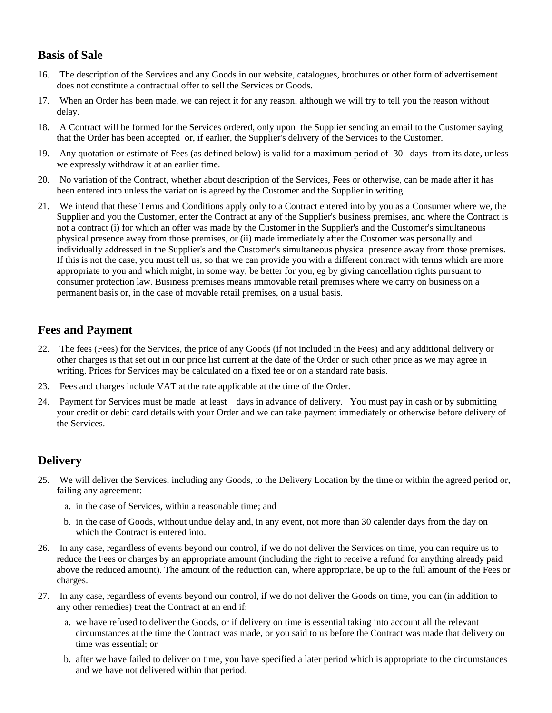# **Basis of Sale**

- 16. The description of the Services and any Goods in our website, catalogues, brochures or other form of advertisement does not constitute a contractual offer to sell the Services or Goods.
- 17. When an Order has been made, we can reject it for any reason, although we will try to tell you the reason without delay.
- 18. A Contract will be formed for the Services ordered, only upon the Supplier sending an email to the Customer saying that the Order has been accepted or, if earlier, the Supplier's delivery of the Services to the Customer.
- 19. Any quotation or estimate of Fees (as defined below) is valid for a maximum period of 30 days from its date, unless we expressly withdraw it at an earlier time.
- 20. No variation of the Contract, whether about description of the Services, Fees or otherwise, can be made after it has been entered into unless the variation is agreed by the Customer and the Supplier in writing.
- 21. We intend that these Terms and Conditions apply only to a Contract entered into by you as a Consumer where we, the Supplier and you the Customer, enter the Contract at any of the Supplier's business premises, and where the Contract is not a contract (i) for which an offer was made by the Customer in the Supplier's and the Customer's simultaneous physical presence away from those premises, or (ii) made immediately after the Customer was personally and individually addressed in the Supplier's and the Customer's simultaneous physical presence away from those premises. If this is not the case, you must tell us, so that we can provide you with a different contract with terms which are more appropriate to you and which might, in some way, be better for you, eg by giving cancellation rights pursuant to consumer protection law. Business premises means immovable retail premises where we carry on business on a permanent basis or, in the case of movable retail premises, on a usual basis.

## **Fees and Payment**

- 22. The fees (Fees) for the Services, the price of any Goods (if not included in the Fees) and any additional delivery or other charges is that set out in our price list current at the date of the Order or such other price as we may agree in writing. Prices for Services may be calculated on a fixed fee or on a standard rate basis.
- 23. Fees and charges include VAT at the rate applicable at the time of the Order.
- 24. Payment for Services must be made at least days in advance of delivery. You must pay in cash or by submitting your credit or debit card details with your Order and we can take payment immediately or otherwise before delivery of the Services.

## **Delivery**

- 25. We will deliver the Services, including any Goods, to the Delivery Location by the time or within the agreed period or, failing any agreement:
	- a. in the case of Services, within a reasonable time; and
	- b. in the case of Goods, without undue delay and, in any event, not more than 30 calender days from the day on which the Contract is entered into.
- 26. In any case, regardless of events beyond our control, if we do not deliver the Services on time, you can require us to reduce the Fees or charges by an appropriate amount (including the right to receive a refund for anything already paid above the reduced amount). The amount of the reduction can, where appropriate, be up to the full amount of the Fees or charges.
- 27. In any case, regardless of events beyond our control, if we do not deliver the Goods on time, you can (in addition to any other remedies) treat the Contract at an end if:
	- a. we have refused to deliver the Goods, or if delivery on time is essential taking into account all the relevant circumstances at the time the Contract was made, or you said to us before the Contract was made that delivery on time was essential; or
	- b. after we have failed to deliver on time, you have specified a later period which is appropriate to the circumstances and we have not delivered within that period.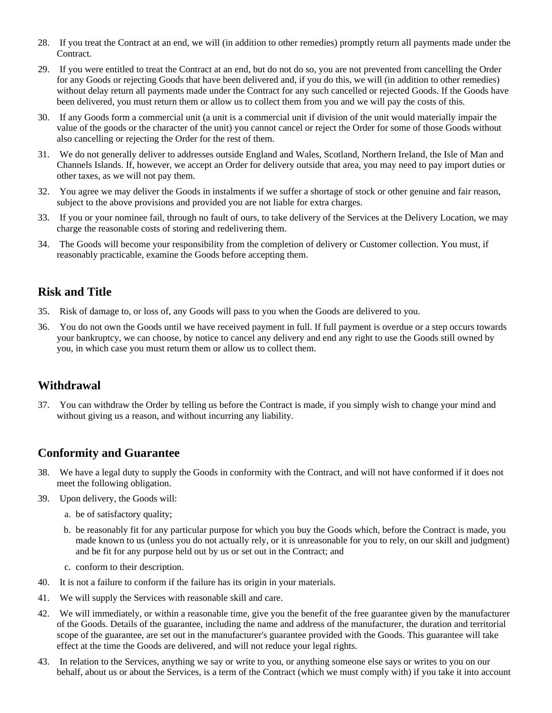- 28. If you treat the Contract at an end, we will (in addition to other remedies) promptly return all payments made under the Contract.
- 29. If you were entitled to treat the Contract at an end, but do not do so, you are not prevented from cancelling the Order for any Goods or rejecting Goods that have been delivered and, if you do this, we will (in addition to other remedies) without delay return all payments made under the Contract for any such cancelled or rejected Goods. If the Goods have been delivered, you must return them or allow us to collect them from you and we will pay the costs of this.
- 30. If any Goods form a commercial unit (a unit is a commercial unit if division of the unit would materially impair the value of the goods or the character of the unit) you cannot cancel or reject the Order for some of those Goods without also cancelling or rejecting the Order for the rest of them.
- 31. We do not generally deliver to addresses outside England and Wales, Scotland, Northern Ireland, the Isle of Man and Channels Islands. If, however, we accept an Order for delivery outside that area, you may need to pay import duties or other taxes, as we will not pay them.
- 32. You agree we may deliver the Goods in instalments if we suffer a shortage of stock or other genuine and fair reason, subject to the above provisions and provided you are not liable for extra charges.
- 33. If you or your nominee fail, through no fault of ours, to take delivery of the Services at the Delivery Location, we may charge the reasonable costs of storing and redelivering them.
- 34. The Goods will become your responsibility from the completion of delivery or Customer collection. You must, if reasonably practicable, examine the Goods before accepting them.

## **Risk and Title**

- 35. Risk of damage to, or loss of, any Goods will pass to you when the Goods are delivered to you.
- 36. You do not own the Goods until we have received payment in full. If full payment is overdue or a step occurs towards your bankruptcy, we can choose, by notice to cancel any delivery and end any right to use the Goods still owned by you, in which case you must return them or allow us to collect them.

## **Withdrawal**

37. You can withdraw the Order by telling us before the Contract is made, if you simply wish to change your mind and without giving us a reason, and without incurring any liability.

## **Conformity and Guarantee**

- 38. We have a legal duty to supply the Goods in conformity with the Contract, and will not have conformed if it does not meet the following obligation.
- 39. Upon delivery, the Goods will:
	- a. be of satisfactory quality;
	- b. be reasonably fit for any particular purpose for which you buy the Goods which, before the Contract is made, you made known to us (unless you do not actually rely, or it is unreasonable for you to rely, on our skill and judgment) and be fit for any purpose held out by us or set out in the Contract; and
	- c. conform to their description.
- 40. It is not a failure to conform if the failure has its origin in your materials.
- 41. We will supply the Services with reasonable skill and care.
- 42. We will immediately, or within a reasonable time, give you the benefit of the free guarantee given by the manufacturer of the Goods. Details of the guarantee, including the name and address of the manufacturer, the duration and territorial scope of the guarantee, are set out in the manufacturer's guarantee provided with the Goods. This guarantee will take effect at the time the Goods are delivered, and will not reduce your legal rights.
- 43. In relation to the Services, anything we say or write to you, or anything someone else says or writes to you on our behalf, about us or about the Services, is a term of the Contract (which we must comply with) if you take it into account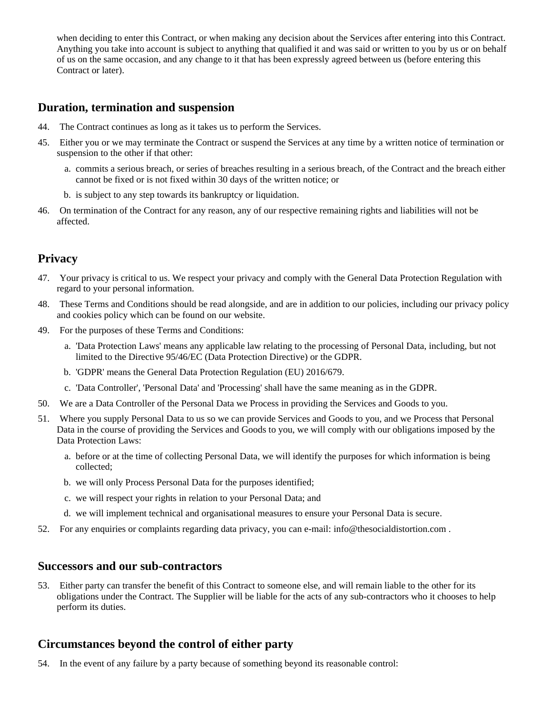when deciding to enter this Contract, or when making any decision about the Services after entering into this Contract. Anything you take into account is subject to anything that qualified it and was said or written to you by us or on behalf of us on the same occasion, and any change to it that has been expressly agreed between us (before entering this Contract or later).

#### **Duration, termination and suspension**

- 44. The Contract continues as long as it takes us to perform the Services.
- 45. Either you or we may terminate the Contract or suspend the Services at any time by a written notice of termination or suspension to the other if that other:
	- a. commits a serious breach, or series of breaches resulting in a serious breach, of the Contract and the breach either cannot be fixed or is not fixed within 30 days of the written notice; or
	- b. is subject to any step towards its bankruptcy or liquidation.
- 46. On termination of the Contract for any reason, any of our respective remaining rights and liabilities will not be affected.

# **Privacy**

- 47. Your privacy is critical to us. We respect your privacy and comply with the General Data Protection Regulation with regard to your personal information.
- 48. These Terms and Conditions should be read alongside, and are in addition to our policies, including our privacy policy and cookies policy which can be found on our website.
- 49. For the purposes of these Terms and Conditions:
	- a. 'Data Protection Laws' means any applicable law relating to the processing of Personal Data, including, but not limited to the Directive 95/46/EC (Data Protection Directive) or the GDPR.
	- b. 'GDPR' means the General Data Protection Regulation (EU) 2016/679.
	- c. 'Data Controller', 'Personal Data' and 'Processing' shall have the same meaning as in the GDPR.
- 50. We are a Data Controller of the Personal Data we Process in providing the Services and Goods to you.
- 51. Where you supply Personal Data to us so we can provide Services and Goods to you, and we Process that Personal Data in the course of providing the Services and Goods to you, we will comply with our obligations imposed by the Data Protection Laws:
	- a. before or at the time of collecting Personal Data, we will identify the purposes for which information is being collected;
	- b. we will only Process Personal Data for the purposes identified;
	- c. we will respect your rights in relation to your Personal Data; and
	- d. we will implement technical and organisational measures to ensure your Personal Data is secure.
- 52. For any enquiries or complaints regarding data privacy, you can e-mail: info@thesocialdistortion.com .

#### **Successors and our sub-contractors**

53. Either party can transfer the benefit of this Contract to someone else, and will remain liable to the other for its obligations under the Contract. The Supplier will be liable for the acts of any sub-contractors who it chooses to help perform its duties.

## **Circumstances beyond the control of either party**

54. In the event of any failure by a party because of something beyond its reasonable control: